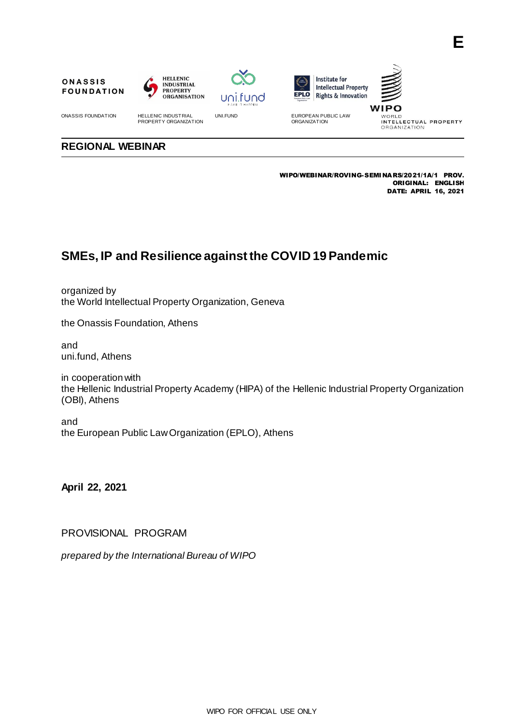









UNI.FUND EUROPEAN PUBLIC LAW ORGANIZATION

WORLD<br>INTELLECTUAL PROPERTY ORGANIZATION

## **REGIONAL WEBINAR**

ONASSIS FOUNDATION HELLENIC INDUSTRIAL PROPERTY ORGANIZATION

WIPO/WEBINAR/ROVING-SEMINARS/2021/1A/1 PROV. ORIGINAL: ENGLISH DATE: APRIL 16, 2021

## **SMEs, IP and Resilience against the COVID 19 Pandemic**

organized by the World Intellectual Property Organization, Geneva

the Onassis Foundation, Athens

and uni.fund, Athens

in cooperation with the Hellenic Industrial Property Academy (HIPA) of the Hellenic Industrial Property Organization (OBI), Athens

and the European Public Law Organization (EPLO), Athens

**April 22, 2021**

PROVISIONAL PROGRAM

*prepared by the International Bureau of WIPO*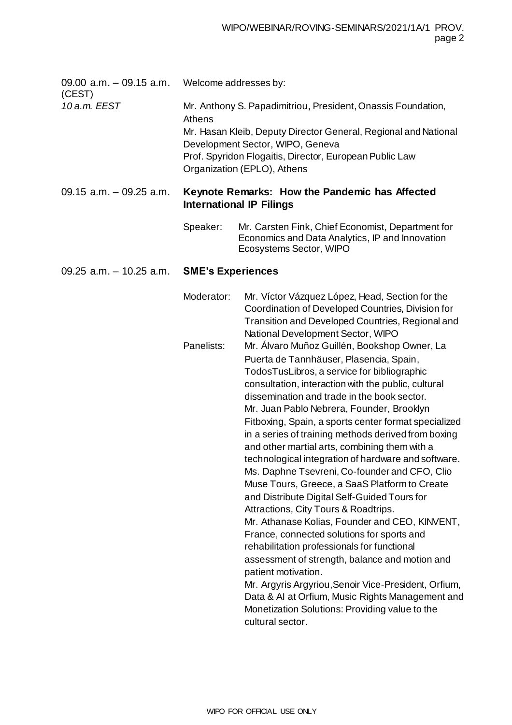| 09.00 $a.m. -09.15 a.m.$<br>(CEST) | Welcome addresses by:                                                             |                                                                                                                                                                                                                                                                                                                                                                                                                                                                                                                                                                                                                                                                                                                                                                                                                                                                                                                                                                                                                                                |
|------------------------------------|-----------------------------------------------------------------------------------|------------------------------------------------------------------------------------------------------------------------------------------------------------------------------------------------------------------------------------------------------------------------------------------------------------------------------------------------------------------------------------------------------------------------------------------------------------------------------------------------------------------------------------------------------------------------------------------------------------------------------------------------------------------------------------------------------------------------------------------------------------------------------------------------------------------------------------------------------------------------------------------------------------------------------------------------------------------------------------------------------------------------------------------------|
| 10 a.m. EEST                       | Athens                                                                            | Mr. Anthony S. Papadimitriou, President, Onassis Foundation,<br>Mr. Hasan Kleib, Deputy Director General, Regional and National<br>Development Sector, WIPO, Geneva<br>Prof. Spyridon Flogaitis, Director, European Public Law<br>Organization (EPLO), Athens                                                                                                                                                                                                                                                                                                                                                                                                                                                                                                                                                                                                                                                                                                                                                                                  |
| $09.15$ a.m. $-09.25$ a.m.         | Keynote Remarks: How the Pandemic has Affected<br><b>International IP Filings</b> |                                                                                                                                                                                                                                                                                                                                                                                                                                                                                                                                                                                                                                                                                                                                                                                                                                                                                                                                                                                                                                                |
|                                    | Speaker:                                                                          | Mr. Carsten Fink, Chief Economist, Department for<br>Economics and Data Analytics, IP and Innovation<br>Ecosystems Sector, WIPO                                                                                                                                                                                                                                                                                                                                                                                                                                                                                                                                                                                                                                                                                                                                                                                                                                                                                                                |
| 09.25 $a.m. - 10.25 a.m.$          | <b>SME's Experiences</b>                                                          |                                                                                                                                                                                                                                                                                                                                                                                                                                                                                                                                                                                                                                                                                                                                                                                                                                                                                                                                                                                                                                                |
|                                    | Moderator:                                                                        | Mr. Víctor Vázquez López, Head, Section for the<br>Coordination of Developed Countries, Division for<br>Transition and Developed Countries, Regional and<br>National Development Sector, WIPO                                                                                                                                                                                                                                                                                                                                                                                                                                                                                                                                                                                                                                                                                                                                                                                                                                                  |
|                                    | Panelists:                                                                        | Mr. Álvaro Muñoz Guillén, Bookshop Owner, La<br>Puerta de Tannhäuser, Plasencia, Spain,<br>TodosTusLibros, a service for bibliographic<br>consultation, interaction with the public, cultural<br>dissemination and trade in the book sector.<br>Mr. Juan Pablo Nebrera, Founder, Brooklyn<br>Fitboxing, Spain, a sports center format specialized<br>in a series of training methods derived from boxing<br>and other martial arts, combining them with a<br>technological integration of hardware and software.<br>Ms. Daphne Tsevreni, Co-founder and CFO, Clio<br>Muse Tours, Greece, a SaaS Platform to Create<br>and Distribute Digital Self-Guided Tours for<br>Attractions, City Tours & Roadtrips.<br>Mr. Athanase Kolias, Founder and CEO, KINVENT,<br>France, connected solutions for sports and<br>rehabilitation professionals for functional<br>assessment of strength, balance and motion and<br>patient motivation.<br>Mr. Argyris Argyriou, Senoir Vice-President, Orfium,<br>Data & AI at Orfium, Music Rights Management and |